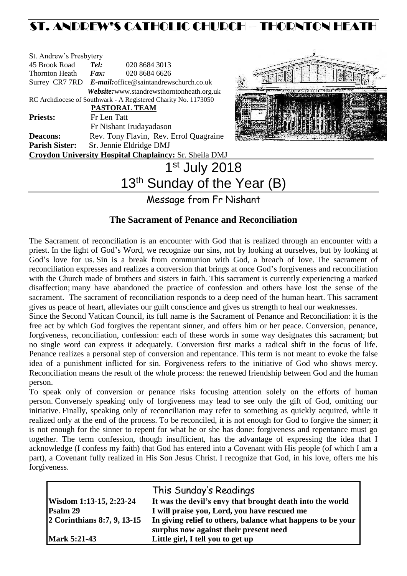# ST. ANDREW'S CATHOLIC CHURCH – THORNTON HEATH

| St. Andrew's Presbytery |                                                                |  |  |  |  |
|-------------------------|----------------------------------------------------------------|--|--|--|--|
| 45 Brook Road           | Tel:<br>020 8684 3013                                          |  |  |  |  |
| Thornton Heath          | 020 8684 6626<br>$\boldsymbol{Fax:}$                           |  |  |  |  |
|                         | Surrey CR7 7RD E-mail: office@saintandrewschurch.co.uk         |  |  |  |  |
|                         | Website: www.standrewsthorntonheath.org.uk                     |  |  |  |  |
|                         | RC Archdiocese of Southwark - A Registered Charity No. 1173050 |  |  |  |  |
|                         | PASTORAL TEAM                                                  |  |  |  |  |
| <b>Priests:</b>         | Fr Len Tatt                                                    |  |  |  |  |
|                         | Fr Nishant Irudayadason                                        |  |  |  |  |
| <b>Deacons:</b>         | Rev. Tony Flavin, Rev. Errol Quagraine                         |  |  |  |  |
| <b>Parish Sister:</b>   | Sr. Jennie Eldridge DMJ                                        |  |  |  |  |
|                         | <b>Croydon University Hospital Chaplaincy: Sr. Sheila DMJ</b>  |  |  |  |  |
|                         | 1 <sup>st</sup> July 2018                                      |  |  |  |  |
|                         | .                                                              |  |  |  |  |



# $13<sup>tn</sup>$  Sunday of the Year (B)

Message from Fr Nishant

# **The Sacrament of Penance and Reconciliation**

The Sacrament of reconciliation is an encounter with God that is realized through an encounter with a priest. In the light of God's Word, we recognize our sins, not by looking at ourselves, but by looking at God's love for us. Sin is a break from communion with God, a breach of love. The sacrament of reconciliation expresses and realizes a conversion that brings at once God's forgiveness and reconciliation with the Church made of brothers and sisters in faith. This sacrament is currently experiencing a marked disaffection; many have abandoned the practice of confession and others have lost the sense of the sacrament. The sacrament of reconciliation responds to a deep need of the human heart. This sacrament gives us peace of heart, alleviates our guilt conscience and gives us strength to heal our weaknesses.

Since the Second Vatican Council, its full name is the Sacrament of Penance and Reconciliation: it is the free act by which God forgives the repentant sinner, and offers him or her peace. Conversion, penance, forgiveness, reconciliation, confession: each of these words in some way designates this sacrament; but no single word can express it adequately. Conversion first marks a radical shift in the focus of life. Penance realizes a personal step of conversion and repentance. This term is not meant to evoke the false idea of a punishment inflicted for sin. Forgiveness refers to the initiative of God who shows mercy. Reconciliation means the result of the whole process: the renewed friendship between God and the human person.

To speak only of conversion or penance risks focusing attention solely on the efforts of human person. Conversely speaking only of forgiveness may lead to see only the gift of God, omitting our initiative. Finally, speaking only of reconciliation may refer to something as quickly acquired, while it realized only at the end of the process. To be reconciled, it is not enough for God to forgive the sinner; it is not enough for the sinner to repent for what he or she has done: forgiveness and repentance must go together. The term confession, though insufficient, has the advantage of expressing the idea that I acknowledge (I confess my faith) that God has entered into a Covenant with His people (of which I am a part), a Covenant fully realized in His Son Jesus Christ. I recognize that God, in his love, offers me his forgiveness.

|                             | This Sunday's Readings                                      |
|-----------------------------|-------------------------------------------------------------|
| Wisdom 1:13-15, 2:23-24     | It was the devil's envy that brought death into the world   |
| Psalm 29                    | I will praise you, Lord, you have rescued me                |
| 2 Corinthians 8:7, 9, 13-15 | In giving relief to others, balance what happens to be your |
|                             | surplus now against their present need                      |
| Mark 5:21-43                | Little girl, I tell you to get up                           |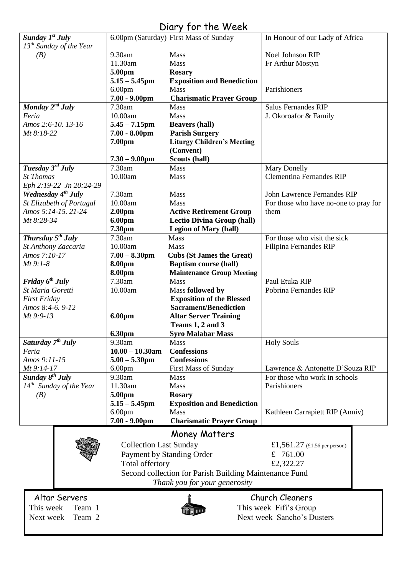# Diary for the Week

| Sunday $I^{st}$ July           |                               | 6.00pm (Saturday) First Mass of Sunday                 | In Honour of our Lady of Africa       |
|--------------------------------|-------------------------------|--------------------------------------------------------|---------------------------------------|
| $13^{th}$ Sunday of the Year   |                               |                                                        |                                       |
| (B)                            | 9.30am                        | Mass                                                   | Noel Johnson RIP                      |
|                                | 11.30am                       | Mass                                                   | Fr Arthur Mostyn                      |
|                                | 5.00pm                        | <b>Rosary</b>                                          |                                       |
|                                | $5.15 - 5.45$ pm              | <b>Exposition and Benediction</b>                      |                                       |
|                                | 6.00 <sub>pm</sub>            | <b>Mass</b>                                            | Parishioners                          |
|                                | $7.00 - 9.00$ pm              | <b>Charismatic Prayer Group</b>                        |                                       |
| $M$ onday $2^{nd}$ July        | 7.30am                        | <b>Mass</b>                                            | <b>Salus Fernandes RIP</b>            |
| Feria                          | 10.00am                       | Mass                                                   | J. Okoroafor & Family                 |
| Amos 2:6-10. 13-16             | $5.45 - 7.15$ pm              | <b>Beavers (hall)</b>                                  |                                       |
| Mt 8:18-22                     | $7.00 - 8.00$ pm              | <b>Parish Surgery</b>                                  |                                       |
|                                | 7.00pm                        | <b>Liturgy Children's Meeting</b>                      |                                       |
|                                |                               | (Convent)                                              |                                       |
|                                | $7.30 - 9.00$ pm              | Scouts (hall)                                          |                                       |
| Tuesday 3rd July               | 7.30am                        | <b>Mass</b>                                            | <b>Mary Donelly</b>                   |
| <b>St Thomas</b>               | 10.00am                       | Mass                                                   | <b>Clementina Fernandes RIP</b>       |
| Eph 2:19-22 Jn 20:24-29        |                               |                                                        |                                       |
| Wednesday 4 <sup>th</sup> July | 7.30am                        | Mass                                                   | John Lawrence Fernandes RIP           |
| St Elizabeth of Portugal       | 10.00am                       | Mass                                                   | For those who have no-one to pray for |
| Amos 5:14-15. 21-24            | 2.00 <sub>pm</sub>            | <b>Active Retirement Group</b>                         | them                                  |
| Mt 8:28-34                     | 6.00pm                        | <b>Lectio Divina Group (hall)</b>                      |                                       |
|                                | 7.30pm                        | <b>Legion of Mary (hall)</b>                           |                                       |
| Thursday $5^{th}$ July         | 7.30am                        | Mass                                                   | For those who visit the sick          |
| St Anthony Zaccaria            | 10.00am                       | Mass                                                   | Filipina Fernandes RIP                |
| Amos 7:10-17                   | $7.00 - 8.30$ pm              | <b>Cubs (St James the Great)</b>                       |                                       |
| $Mt$ 9:1-8                     | 8.00pm                        | <b>Baptism course (hall)</b>                           |                                       |
|                                | 8.00pm                        | <b>Maintenance Group Meeting</b>                       |                                       |
| Friday $6^{th}$ July           | 7.30am                        | <b>Mass</b>                                            | Paul Etuka RIP                        |
| St Maria Goretti               | 10.00am                       | Mass followed by                                       | Pobrina Fernandes RIP                 |
| <b>First Friday</b>            |                               | <b>Exposition of the Blessed</b>                       |                                       |
| Amos 8:4-6. 9-12               |                               | <b>Sacrament/Benediction</b>                           |                                       |
| Mt 9:9-13                      | <b>6.00pm</b>                 | <b>Altar Server Training</b>                           |                                       |
|                                |                               | Teams 1, 2 and 3                                       |                                       |
|                                | 6.30pm                        | <b>Syro Malabar Mass</b>                               |                                       |
| Saturday 7 <sup>th</sup> July  | 9.30am                        | Mass                                                   | <b>Holy Souls</b>                     |
| Feria                          | $10.00 - 10.30$ am            | <b>Confessions</b>                                     |                                       |
| Amos 9:11-15                   | $5.00 - 5.30$ pm              | <b>Confessions</b>                                     |                                       |
| Mt 9:14-17                     | 6.00pm                        | First Mass of Sunday                                   | Lawrence & Antonette D'Souza RIP      |
| Sunday 8 <sup>th</sup> July    | 9.30am                        | <b>Mass</b>                                            | For those who work in schools         |
| $14^{th}$ Sunday of the Year   | 11.30am                       | Mass                                                   | Parishioners                          |
| (B)                            | 5.00pm                        | <b>Rosary</b>                                          |                                       |
|                                | $5.15 - 5.45$ pm              | <b>Exposition and Benediction</b>                      |                                       |
|                                | 6.00 <sub>pm</sub>            | <b>Mass</b>                                            | Kathleen Carrapiett RIP (Anniv)       |
|                                | $7.00 - 9.00$ pm              | <b>Charismatic Prayer Group</b>                        |                                       |
|                                |                               |                                                        |                                       |
|                                |                               | <b>Money Matters</b>                                   |                                       |
|                                | <b>Collection Last Sunday</b> |                                                        | £1,561.27 (£1.56 per person)          |
|                                |                               | Payment by Standing Order                              | £ 761.00                              |
|                                | Total offertory               |                                                        | £2,322.27                             |
|                                |                               | Second collection for Parish Building Maintenance Fund |                                       |
|                                |                               | Thank you for your generosity                          |                                       |
|                                |                               |                                                        |                                       |
| Altar Servers                  |                               |                                                        | Church Cleaners                       |
| This week<br>Team 1            |                               |                                                        | This week Fifi's Group                |
| Team 2<br>Next week            |                               |                                                        | Next week Sancho's Dusters            |
|                                |                               |                                                        |                                       |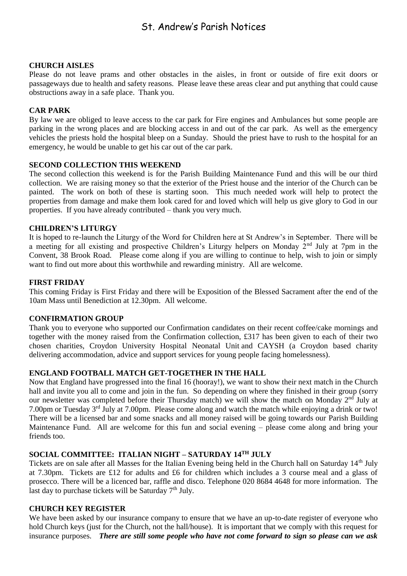# St. Andrew's Parish Notices

#### **CHURCH AISLES**

Please do not leave prams and other obstacles in the aisles, in front or outside of fire exit doors or passageways due to health and safety reasons. Please leave these areas clear and put anything that could cause obstructions away in a safe place. Thank you.

#### **CAR PARK**

By law we are obliged to leave access to the car park for Fire engines and Ambulances but some people are parking in the wrong places and are blocking access in and out of the car park. As well as the emergency vehicles the priests hold the hospital bleep on a Sunday. Should the priest have to rush to the hospital for an emergency, he would be unable to get his car out of the car park.

#### **SECOND COLLECTION THIS WEEKEND**

The second collection this weekend is for the Parish Building Maintenance Fund and this will be our third collection. We are raising money so that the exterior of the Priest house and the interior of the Church can be painted. The work on both of these is starting soon. This much needed work will help to protect the properties from damage and make them look cared for and loved which will help us give glory to God in our properties. If you have already contributed – thank you very much.

#### **CHILDREN'S LITURGY**

It is hoped to re-launch the Liturgy of the Word for Children here at St Andrew's in September. There will be a meeting for all existing and prospective Children's Liturgy helpers on Monday 2<sup>nd</sup> July at 7pm in the Convent, 38 Brook Road. Please come along if you are willing to continue to help, wish to join or simply want to find out more about this worthwhile and rewarding ministry. All are welcome.

#### **FIRST FRIDAY**

This coming Friday is First Friday and there will be Exposition of the Blessed Sacrament after the end of the 10am Mass until Benediction at 12.30pm. All welcome.

#### **CONFIRMATION GROUP**

Thank you to everyone who supported our Confirmation candidates on their recent coffee/cake mornings and together with the money raised from the Confirmation collection, £317 has been given to each of their two chosen charities, Croydon University Hospital Neonatal Unit and CAYSH (a Croydon based charity delivering accommodation, advice and support services for young people facing homelessness).

#### **ENGLAND FOOTBALL MATCH GET-TOGETHER IN THE HALL**

Now that England have progressed into the final 16 (hooray!), we want to show their next match in the Church hall and invite you all to come and join in the fun. So depending on where they finished in their group (sorry our newsletter was completed before their Thursday match) we will show the match on Monday 2<sup>nd</sup> July at 7.00pm or Tuesday 3rd July at 7.00pm. Please come along and watch the match while enjoying a drink or two! There will be a licensed bar and some snacks and all money raised will be going towards our Parish Building Maintenance Fund. All are welcome for this fun and social evening – please come along and bring your friends too.

# **SOCIAL COMMITTEE: ITALIAN NIGHT – SATURDAY 14TH JULY**

Tickets are on sale after all Masses for the Italian Evening being held in the Church hall on Saturday 14<sup>th</sup> July at 7.30pm. Tickets are £12 for adults and £6 for children which includes a 3 course meal and a glass of prosecco. There will be a licenced bar, raffle and disco. Telephone 020 8684 4648 for more information. The last day to purchase tickets will be Saturday  $7<sup>th</sup>$  July.

#### **CHURCH KEY REGISTER**

We have been asked by our insurance company to ensure that we have an up-to-date register of everyone who hold Church keys (just for the Church, not the hall/house). It is important that we comply with this request for insurance purposes. *There are still some people who have not come forward to sign so please can we ask*